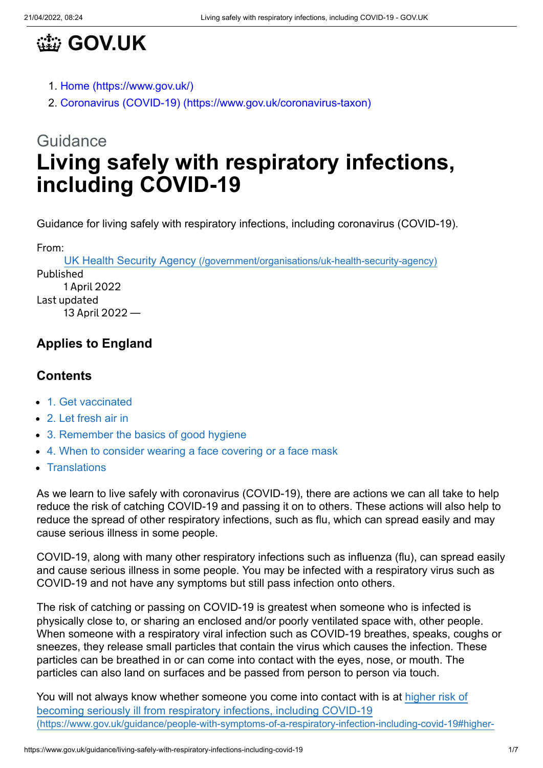

- 1. [Home \(https://www.gov.uk/\)](https://www.gov.uk/)
- 2. [Coronavirus \(COVID-19\) \(https://www.gov.uk/coronavirus-taxon\)](https://www.gov.uk/coronavirus-taxon)

# **Guidance Living safely with respiratory infections, including COVID-19**

Guidance for living safely with respiratory infections, including coronavirus (COVID-19).

From:

UK Health Security Agency [\(/government/organisations/uk-health-security-agency\)](https://www.gov.uk/government/organisations/uk-health-security-agency) Published 1 April 2022 Last updated 13 April 2022 —

# **Applies to England**

#### **Contents**

- [1. Get vaccinated](#page-1-0)
- [2. Let fresh air in](#page-1-1)
- [3. Remember the basics of good hygiene](#page-2-0)
- [4. When to consider wearing a face covering or a face mask](#page-3-0)
- [Translations](#page-4-0)

As we learn to live safely with coronavirus (COVID-19), there are actions we can all take to help reduce the risk of catching COVID-19 and passing it on to others. These actions will also help to reduce the spread of other respiratory infections, such as flu, which can spread easily and may cause serious illness in some people.

COVID-19, along with many other respiratory infections such as influenza (flu), can spread easily and cause serious illness in some people. You may be infected with a respiratory virus such as COVID-19 and not have any symptoms but still pass infection onto others.

The risk of catching or passing on COVID-19 is greatest when someone who is infected is physically close to, or sharing an enclosed and/or poorly ventilated space with, other people. When someone with a respiratory viral infection such as COVID-19 breathes, speaks, coughs or sneezes, they release small particles that contain the virus which causes the infection. These particles can be breathed in or can come into contact with the eyes, nose, or mouth. The particles can also land on surfaces and be passed from person to person via touch.

[You will not always know whether someone you come into contact with is at higher risk of](https://www.gov.uk/guidance/people-with-symptoms-of-a-respiratory-infection-including-covid-19#higher-risk) becoming seriously ill from respiratory infections, including COVID-19 (https://www.gov.uk/guidance/people-with-symptoms-of-a-respiratory-infection-including-covid-19#higher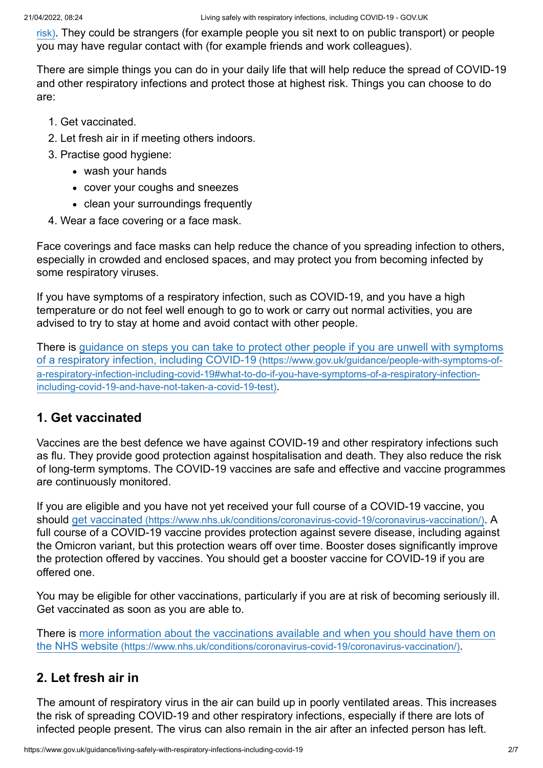risk)[. They could be strangers \(for example people you sit next to on public transport\) or people](https://www.gov.uk/guidance/people-with-symptoms-of-a-respiratory-infection-including-covid-19#higher-risk) you may have regular contact with (for example friends and work colleagues).

There are simple things you can do in your daily life that will help reduce the spread of COVID-19 and other respiratory infections and protect those at highest risk. Things you can choose to do are:

- 1. Get vaccinated.
- 2. Let fresh air in if meeting others indoors.
- 3. Practise good hygiene:
	- wash your hands
	- cover your coughs and sneezes
	- clean your surroundings frequently
- 4. Wear a face covering or a face mask.

Face coverings and face masks can help reduce the chance of you spreading infection to others, especially in crowded and enclosed spaces, and may protect you from becoming infected by some respiratory viruses.

If you have symptoms of a respiratory infection, such as COVID-19, and you have a high temperature or do not feel well enough to go to work or carry out normal activities, you are advised to try to stay at home and avoid contact with other people.

[There is guidance on steps you can take to protect other people if you are unwell with symptoms](https://www.gov.uk/guidance/people-with-symptoms-of-a-respiratory-infection-including-covid-19#what-to-do-if-you-have-symptoms-of-a-respiratory-infection-including-covid-19-and-have-not-taken-a-covid-19-test) of a respiratory infection, including COVID-19 (https://www.gov.uk/guidance/people-with-symptoms-ofa-respiratory-infection-including-covid-19#what-to-do-if-you-have-symptoms-of-a-respiratory-infectionincluding-covid-19-and-have-not-taken-a-covid-19-test).

## <span id="page-1-0"></span>**1. Get vaccinated**

Vaccines are the best defence we have against COVID-19 and other respiratory infections such as flu. They provide good protection against hospitalisation and death. They also reduce the risk of long-term symptoms. The COVID-19 vaccines are safe and effective and vaccine programmes are continuously monitored.

If you are eligible and you have not yet received your full course of a COVID-19 vaccine, you should get vaccinated [\(https://www.nhs.uk/conditions/coronavirus-covid-19/coronavirus-vaccination/\)](https://www.nhs.uk/conditions/coronavirus-covid-19/coronavirus-vaccination/). A full course of a COVID-19 vaccine provides protection against severe disease, including against the Omicron variant, but this protection wears off over time. Booster doses significantly improve the protection offered by vaccines. You should get a booster vaccine for COVID-19 if you are offered one.

You may be eligible for other vaccinations, particularly if you are at risk of becoming seriously ill. Get vaccinated as soon as you are able to.

[There is more information about the vaccinations available and when you should have them on](https://www.nhs.uk/conditions/coronavirus-covid-19/coronavirus-vaccination/) the NHS website (https://www.nhs.uk/conditions/coronavirus-covid-19/coronavirus-vaccination/).

## <span id="page-1-1"></span>**2. Let fresh air in**

The amount of respiratory virus in the air can build up in poorly ventilated areas. This increases the risk of spreading COVID-19 and other respiratory infections, especially if there are lots of infected people present. The virus can also remain in the air after an infected person has left.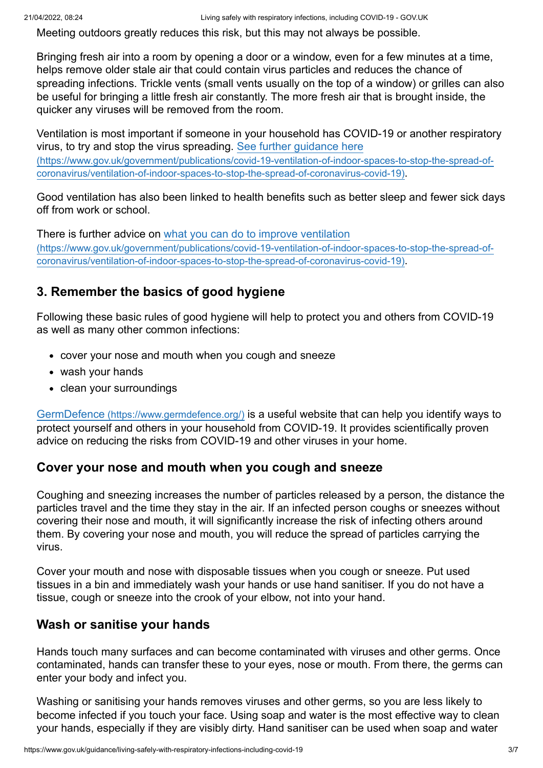Meeting outdoors greatly reduces this risk, but this may not always be possible.

Bringing fresh air into a room by opening a door or a window, even for a few minutes at a time, helps remove older stale air that could contain virus particles and reduces the chance of spreading infections. Trickle vents (small vents usually on the top of a window) or grilles can also be useful for bringing a little fresh air constantly. The more fresh air that is brought inside, the quicker any viruses will be removed from the room.

Ventilation is most important if someone in your household has COVID-19 or another respiratory virus, to try and stop the virus spreading. See further guidance here [\(https://www.gov.uk/government/publications/covid-19-ventilation-of-indoor-spaces-to-stop-the-spread-of](https://www.gov.uk/government/publications/covid-19-ventilation-of-indoor-spaces-to-stop-the-spread-of-coronavirus/ventilation-of-indoor-spaces-to-stop-the-spread-of-coronavirus-covid-19)coronavirus/ventilation-of-indoor-spaces-to-stop-the-spread-of-coronavirus-covid-19).

Good ventilation has also been linked to health benefits such as better sleep and fewer sick days off from work or school.

There is further advice on what you can do to improve ventilation [\(https://www.gov.uk/government/publications/covid-19-ventilation-of-indoor-spaces-to-stop-the-spread-of](https://www.gov.uk/government/publications/covid-19-ventilation-of-indoor-spaces-to-stop-the-spread-of-coronavirus/ventilation-of-indoor-spaces-to-stop-the-spread-of-coronavirus-covid-19)coronavirus/ventilation-of-indoor-spaces-to-stop-the-spread-of-coronavirus-covid-19).

# <span id="page-2-0"></span>**3. Remember the basics of good hygiene**

Following these basic rules of good hygiene will help to protect you and others from COVID-19 as well as many other common infections:

- cover your nose and mouth when you cough and sneeze
- wash your hands
- clean your surroundings

GermDefence [\(https://www.germdefence.org/\)](https://www.germdefence.org/) is a useful website that can help you identify ways to protect yourself and others in your household from COVID-19. It provides scientifically proven advice on reducing the risks from COVID-19 and other viruses in your home.

## **Cover your nose and mouth when you cough and sneeze**

Coughing and sneezing increases the number of particles released by a person, the distance the particles travel and the time they stay in the air. If an infected person coughs or sneezes without covering their nose and mouth, it will significantly increase the risk of infecting others around them. By covering your nose and mouth, you will reduce the spread of particles carrying the virus.

Cover your mouth and nose with disposable tissues when you cough or sneeze. Put used tissues in a bin and immediately wash your hands or use hand sanitiser. If you do not have a tissue, cough or sneeze into the crook of your elbow, not into your hand.

## **Wash or sanitise your hands**

Hands touch many surfaces and can become contaminated with viruses and other germs. Once contaminated, hands can transfer these to your eyes, nose or mouth. From there, the germs can enter your body and infect you.

Washing or sanitising your hands removes viruses and other germs, so you are less likely to become infected if you touch your face. Using soap and water is the most effective way to clean your hands, especially if they are visibly dirty. Hand sanitiser can be used when soap and water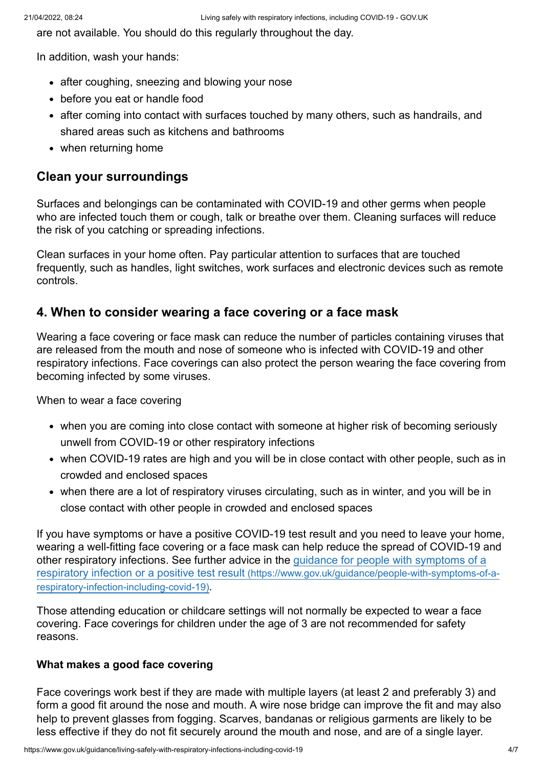are not available. You should do this regularly throughout the day.

In addition, wash your hands:

- after coughing, sneezing and blowing your nose
- before you eat or handle food
- after coming into contact with surfaces touched by many others, such as handrails, and shared areas such as kitchens and bathrooms
- when returning home

#### **Clean your surroundings**

Surfaces and belongings can be contaminated with COVID-19 and other germs when people who are infected touch them or cough, talk or breathe over them. Cleaning surfaces will reduce the risk of you catching or spreading infections.

Clean surfaces in your home often. Pay particular attention to surfaces that are touched frequently, such as handles, light switches, work surfaces and electronic devices such as remote controls.

### <span id="page-3-0"></span>**4. When to consider wearing a face covering or a face mask**

Wearing a face covering or face mask can reduce the number of particles containing viruses that are released from the mouth and nose of someone who is infected with COVID-19 and other respiratory infections. Face coverings can also protect the person wearing the face covering from becoming infected by some viruses.

When to wear a face covering

- when you are coming into close contact with someone at higher risk of becoming seriously unwell from COVID-19 or other respiratory infections
- when COVID-19 rates are high and you will be in close contact with other people, such as in crowded and enclosed spaces
- when there are a lot of respiratory viruses circulating, such as in winter, and you will be in close contact with other people in crowded and enclosed spaces

If you have symptoms or have a positive COVID-19 test result and you need to leave your home, wearing a well-fitting face covering or a face mask can help reduce the spread of COVID-19 and [other respiratory infections. See further advice in the guidance for people with symptoms of a](https://www.gov.uk/guidance/people-with-symptoms-of-a-respiratory-infection-including-covid-19) respiratory infection or a positive test result (https://www.gov.uk/guidance/people-with-symptoms-of-arespiratory-infection-including-covid-19).

Those attending education or childcare settings will not normally be expected to wear a face covering. Face coverings for children under the age of 3 are not recommended for safety reasons.

#### **What makes a good face covering**

Face coverings work best if they are made with multiple layers (at least 2 and preferably 3) and form a good fit around the nose and mouth. A wire nose bridge can improve the fit and may also help to prevent glasses from fogging. Scarves, bandanas or religious garments are likely to be less effective if they do not fit securely around the mouth and nose, and are of a single layer.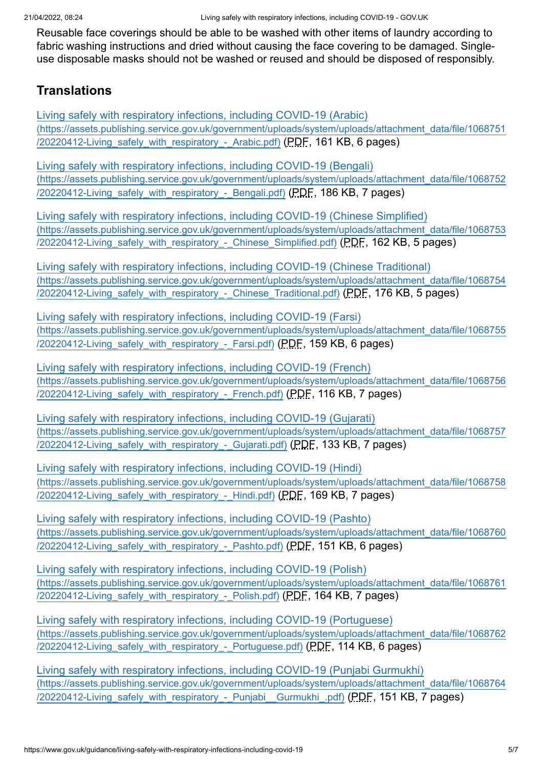Reusable face coverings should be able to be washed with other items of laundry according to fabric washing instructions and dried without causing the face covering to be damaged. Singleuse disposable masks should not be washed or reused and should be disposed of responsibly.

## <span id="page-4-0"></span>**Translations**

Living safely with respiratory infections, including COVID-19 (Arabic) [\(https://assets.publishing.service.gov.uk/government/uploads/system/uploads/attachment\\_data/file/1068751](https://assets.publishing.service.gov.uk/government/uploads/system/uploads/attachment_data/file/1068751/20220412-Living_safely_with_respiratory_-_Arabic.pdf) /20220412-Living\_safely\_with\_respiratory\_-\_Arabic.pdf) (PDF, 161 KB, 6 pages)

Living safely with respiratory infections, including COVID-19 (Bengali) [\(https://assets.publishing.service.gov.uk/government/uploads/system/uploads/attachment\\_data/file/1068752](https://assets.publishing.service.gov.uk/government/uploads/system/uploads/attachment_data/file/1068752/20220412-Living_safely_with_respiratory_-_Bengali.pdf) /20220412-Living safely with respiratory - Bengali.pdf) (PDF, 186 KB, 7 pages)

Living safely with respiratory infections, including COVID-19 (Chinese Simplified) [\(https://assets.publishing.service.gov.uk/government/uploads/system/uploads/attachment\\_data/file/1068753](https://assets.publishing.service.gov.uk/government/uploads/system/uploads/attachment_data/file/1068753/20220412-Living_safely_with_respiratory_-_Chinese_Simplified.pdf) /20220412-Living safely with respiratory - Chinese Simplified.pdf) (PDF, 162 KB, 5 pages)

Living safely with respiratory infections, including COVID-19 (Chinese Traditional) [\(https://assets.publishing.service.gov.uk/government/uploads/system/uploads/attachment\\_data/file/1068754](https://assets.publishing.service.gov.uk/government/uploads/system/uploads/attachment_data/file/1068754/20220412-Living_safely_with_respiratory_-_Chinese_Traditional.pdf) /20220412-Living safely with respiratory - Chinese Traditional.pdf) (PDF, 176 KB, 5 pages)

Living safely with respiratory infections, including COVID-19 (Farsi) [\(https://assets.publishing.service.gov.uk/government/uploads/system/uploads/attachment\\_data/file/1068755](https://assets.publishing.service.gov.uk/government/uploads/system/uploads/attachment_data/file/1068755/20220412-Living_safely_with_respiratory_-_Farsi.pdf) /20220412-Living\_safely\_with\_respiratory\_-\_Farsi.pdf) (PDF, 159 KB, 6 pages)

Living safely with respiratory infections, including COVID-19 (French) [\(https://assets.publishing.service.gov.uk/government/uploads/system/uploads/attachment\\_data/file/1068756](https://assets.publishing.service.gov.uk/government/uploads/system/uploads/attachment_data/file/1068756/20220412-Living_safely_with_respiratory_-_French.pdf) /20220412-Living\_safely\_with\_respiratory\_-\_French.pdf) (PDF, 116 KB, 7 pages)

Living safely with respiratory infections, including COVID-19 (Gujarati) [\(https://assets.publishing.service.gov.uk/government/uploads/system/uploads/attachment\\_data/file/1068757](https://assets.publishing.service.gov.uk/government/uploads/system/uploads/attachment_data/file/1068757/20220412-Living_safely_with_respiratory_-_Gujarati.pdf) /20220412-Living\_safely\_with\_respiratory\_-\_Gujarati.pdf) (PDF, 133 KB, 7 pages)

Living safely with respiratory infections, including COVID-19 (Hindi) [\(https://assets.publishing.service.gov.uk/government/uploads/system/uploads/attachment\\_data/file/1068758](https://assets.publishing.service.gov.uk/government/uploads/system/uploads/attachment_data/file/1068758/20220412-Living_safely_with_respiratory_-_Hindi.pdf) /20220412-Living\_safely\_with\_respiratory\_-\_Hindi.pdf) (PDF, 169 KB, 7 pages)

Living safely with respiratory infections, including COVID-19 (Pashto) [\(https://assets.publishing.service.gov.uk/government/uploads/system/uploads/attachment\\_data/file/1068760](https://assets.publishing.service.gov.uk/government/uploads/system/uploads/attachment_data/file/1068760/20220412-Living_safely_with_respiratory_-_Pashto.pdf) /20220412-Living\_safely\_with\_respiratory\_-\_Pashto.pdf) (PDF, 151 KB, 6 pages)

Living safely with respiratory infections, including COVID-19 (Polish) [\(https://assets.publishing.service.gov.uk/government/uploads/system/uploads/attachment\\_data/file/1068761](https://assets.publishing.service.gov.uk/government/uploads/system/uploads/attachment_data/file/1068761/20220412-Living_safely_with_respiratory_-_Polish.pdf) /20220412-Living\_safely\_with\_respiratory\_-\_Polish.pdf) (PDF, 164 KB, 7 pages)

Living safely with respiratory infections, including COVID-19 (Portuguese) [\(https://assets.publishing.service.gov.uk/government/uploads/system/uploads/attachment\\_data/file/1068762](https://assets.publishing.service.gov.uk/government/uploads/system/uploads/attachment_data/file/1068762/20220412-Living_safely_with_respiratory_-_Portuguese.pdf) /20220412-Living\_safely\_with\_respiratory\_-\_Portuguese.pdf) (PDF, 114 KB, 6 pages)

Living safely with respiratory infections, including COVID-19 (Punjabi Gurmukhi) [\(https://assets.publishing.service.gov.uk/government/uploads/system/uploads/attachment\\_data/file/1068764](https://assets.publishing.service.gov.uk/government/uploads/system/uploads/attachment_data/file/1068764/20220412-Living_safely_with_respiratory_-_Punjabi__Gurmukhi_.pdf) /20220412-Living\_safely\_with\_respiratory\_-\_Punjabi\_\_Gurmukhi\_.pdf) (PDF, 151 KB, 7 pages)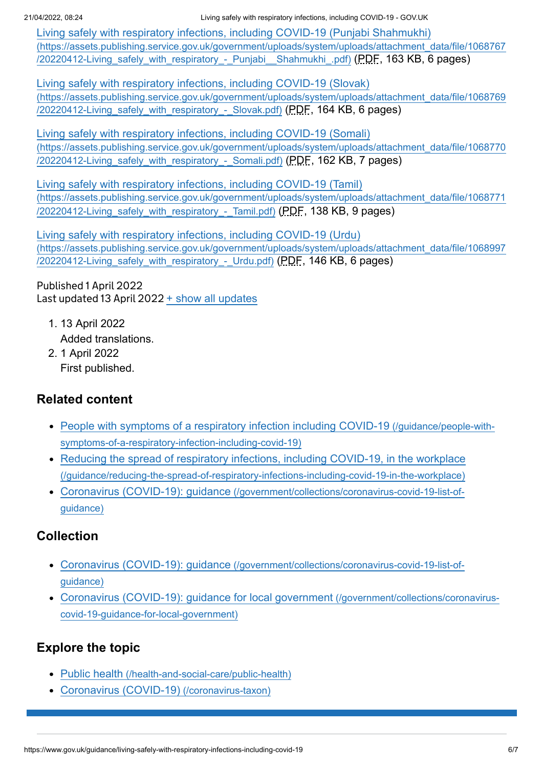21/04/2022, 08:24 Living safely with respiratory infections, including COVID-19 - GOV.UK

Living safely with respiratory infections, including COVID-19 (Punjabi Shahmukhi) [\(https://assets.publishing.service.gov.uk/government/uploads/system/uploads/attachment\\_data/file/1068767](https://assets.publishing.service.gov.uk/government/uploads/system/uploads/attachment_data/file/1068767/20220412-Living_safely_with_respiratory_-_Punjabi__Shahmukhi_.pdf) /20220412-Living safely with respiratory - Punjabi Shahmukhi .pdf) (PDF, 163 KB, 6 pages)

Living safely with respiratory infections, including COVID-19 (Slovak) [\(https://assets.publishing.service.gov.uk/government/uploads/system/uploads/attachment\\_data/file/1068769](https://assets.publishing.service.gov.uk/government/uploads/system/uploads/attachment_data/file/1068769/20220412-Living_safely_with_respiratory_-_Slovak.pdf) /20220412-Living\_safely\_with\_respiratory\_-\_Slovak.pdf) (PDF, 164 KB, 6 pages)

Living safely with respiratory infections, including COVID-19 (Somali) [\(https://assets.publishing.service.gov.uk/government/uploads/system/uploads/attachment\\_data/file/1068770](https://assets.publishing.service.gov.uk/government/uploads/system/uploads/attachment_data/file/1068770/20220412-Living_safely_with_respiratory_-_Somali.pdf) /20220412-Living\_safely\_with\_respiratory\_-\_Somali.pdf) (PDF, 162 KB, 7 pages)

Living safely with respiratory infections, including COVID-19 (Tamil) [\(https://assets.publishing.service.gov.uk/government/uploads/system/uploads/attachment\\_data/file/1068771](https://assets.publishing.service.gov.uk/government/uploads/system/uploads/attachment_data/file/1068771/20220412-Living_safely_with_respiratory_-_Tamil.pdf) /20220412-Living safely with respiratory - Tamil.pdf) (PDF, 138 KB, 9 pages)

Living safely with respiratory infections, including COVID-19 (Urdu) [\(https://assets.publishing.service.gov.uk/government/uploads/system/uploads/attachment\\_data/file/1068997](https://assets.publishing.service.gov.uk/government/uploads/system/uploads/attachment_data/file/1068997/20220412-Living_safely_with_respiratory_-_Urdu.pdf) /20220412-Living\_safely\_with\_respiratory\_-\_Urdu.pdf) (PDF, 146 KB, 6 pages)

Published 1 April 2022 Last updated 13 April 2022 + [show all updates](#page-5-0)

- <span id="page-5-0"></span>1. 13 April 2022 Added translations.
- 2. 1 April 2022 First published.

# **Related content**

- [People with symptoms of a respiratory infection including COVID-19](https://www.gov.uk/guidance/people-with-symptoms-of-a-respiratory-infection-including-covid-19) (/guidance/people-withsymptoms-of-a-respiratory-infection-including-covid-19)
- [Reducing the spread of respiratory infections, including COVID-19, in the workplace](https://www.gov.uk/guidance/reducing-the-spread-of-respiratory-infections-including-covid-19-in-the-workplace) (/guidance/reducing-the-spread-of-respiratory-infections-including-covid-19-in-the-workplace)
- Coronavirus (COVID-19): guidance [\(/government/collections/coronavirus-covid-19-list-of](https://www.gov.uk/government/collections/coronavirus-covid-19-list-of-guidance)guidance)

# **Collection**

- Coronavirus (COVID-19): guidance [\(/government/collections/coronavirus-covid-19-list-of](https://www.gov.uk/government/collections/coronavirus-covid-19-list-of-guidance)guidance)
- [Coronavirus \(COVID-19\): guidance for local government](https://www.gov.uk/government/collections/coronavirus-covid-19-guidance-for-local-government) (/government/collections/coronaviruscovid-19-guidance-for-local-government)

# **Explore the topic**

- Public health [\(/health-and-social-care/public-health\)](https://www.gov.uk/health-and-social-care/public-health)
- [Coronavirus \(COVID-19\)](https://www.gov.uk/coronavirus-taxon) (/coronavirus-taxon)